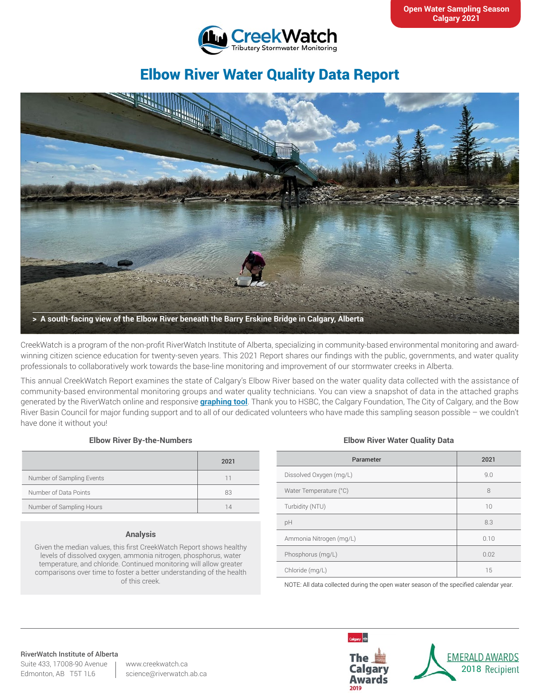

# Elbow River Water Quality Data Report



CreekWatch is a program of the non-profit RiverWatch Institute of Alberta, specializing in community-based environmental monitoring and awardwinning citizen science education for twenty-seven years. This 2021 Report shares our findings with the public, governments, and water quality professionals to collaboratively work towards the base-line monitoring and improvement of our stormwater creeks in Alberta.

This annual CreekWatch Report examines the state of Calgary's Elbow River based on the water quality data collected with the assistance of community-based environmental monitoring groups and water quality technicians. You can view a snapshot of data in the attached graphs generated by the RiverWatch online and responsive **[graphing tool](http://www.riverwatch.ab.ca/index.php/science/data)**. Thank you to HSBC, the Calgary Foundation, The City of Calgary, and the Bow River Basin Council for major funding support and to all of our dedicated volunteers who have made this sampling season possible – we couldn't have done it without you!

### **Elbow River By-the-Numbers**

|                           | 2021 |
|---------------------------|------|
| Number of Sampling Events | 11   |
| Number of Data Points     | 83   |
| Number of Sampling Hours  | 14   |

### **Analysis**

Given the median values, this first CreekWatch Report shows healthy levels of dissolved oxygen, ammonia nitrogen, phosphorus, water temperature, and chloride. Continued monitoring will allow greater comparisons over time to foster a better understanding of the health of this creek.

### **Elbow River Water Quality Data**

| Parameter               | 2021 |
|-------------------------|------|
| Dissolved Oxygen (mg/L) | 9.0  |
| Water Temperature (°C)  | 8    |
| Turbidity (NTU)         | 10   |
| pH                      | 8.3  |
| Ammonia Nitrogen (mg/L) | 0.10 |
| Phosphorus (mg/L)       | 0.02 |
| Chloride (mg/L)         | 15   |
|                         |      |

NOTE: All data collected during the open water season of the specified calendar year.

#### RiverWatch Institute of Alberta

Suite 433, 17008-90 Avenue Edmonton, AB T5T 1L6

www.creekwatch.ca science@riverwatch.ab.ca